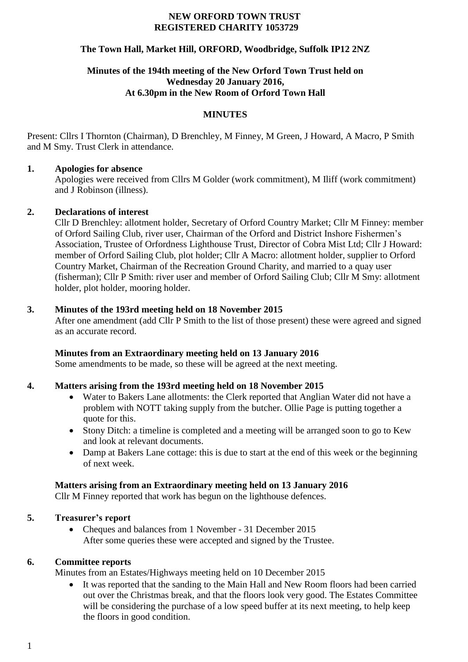#### **NEW ORFORD TOWN TRUST REGISTERED CHARITY 1053729**

#### **The Town Hall, Market Hill, ORFORD, Woodbridge, Suffolk IP12 2NZ**

## **Minutes of the 194th meeting of the New Orford Town Trust held on Wednesday 20 January 2016, At 6.30pm in the New Room of Orford Town Hall**

#### **MINUTES**

Present: Cllrs I Thornton (Chairman), D Brenchley, M Finney, M Green, J Howard, A Macro, P Smith and M Smy. Trust Clerk in attendance.

#### **1. Apologies for absence**

Apologies were received from Cllrs M Golder (work commitment), M Iliff (work commitment) and J Robinson (illness).

#### **2. Declarations of interest**

Cllr D Brenchley: allotment holder, Secretary of Orford Country Market; Cllr M Finney: member of Orford Sailing Club, river user, Chairman of the Orford and District Inshore Fishermen's Association, Trustee of Orfordness Lighthouse Trust, Director of Cobra Mist Ltd; Cllr J Howard: member of Orford Sailing Club, plot holder; Cllr A Macro: allotment holder, supplier to Orford Country Market, Chairman of the Recreation Ground Charity, and married to a quay user (fisherman); Cllr P Smith: river user and member of Orford Sailing Club; Cllr M Smy: allotment holder, plot holder, mooring holder.

#### **3. Minutes of the 193rd meeting held on 18 November 2015**

After one amendment (add Cllr P Smith to the list of those present) these were agreed and signed as an accurate record.

## **Minutes from an Extraordinary meeting held on 13 January 2016**

Some amendments to be made, so these will be agreed at the next meeting.

## **4. Matters arising from the 193rd meeting held on 18 November 2015**

- Water to Bakers Lane allotments: the Clerk reported that Anglian Water did not have a problem with NOTT taking supply from the butcher. Ollie Page is putting together a quote for this.
- Stony Ditch: a timeline is completed and a meeting will be arranged soon to go to Kew and look at relevant documents.
- Damp at Bakers Lane cottage: this is due to start at the end of this week or the beginning of next week.

## **Matters arising from an Extraordinary meeting held on 13 January 2016**

Cllr M Finney reported that work has begun on the lighthouse defences.

## **5. Treasurer's report**

• Cheques and balances from 1 November - 31 December 2015 After some queries these were accepted and signed by the Trustee.

## **6. Committee reports**

Minutes from an Estates/Highways meeting held on 10 December 2015

 It was reported that the sanding to the Main Hall and New Room floors had been carried out over the Christmas break, and that the floors look very good. The Estates Committee will be considering the purchase of a low speed buffer at its next meeting, to help keep the floors in good condition.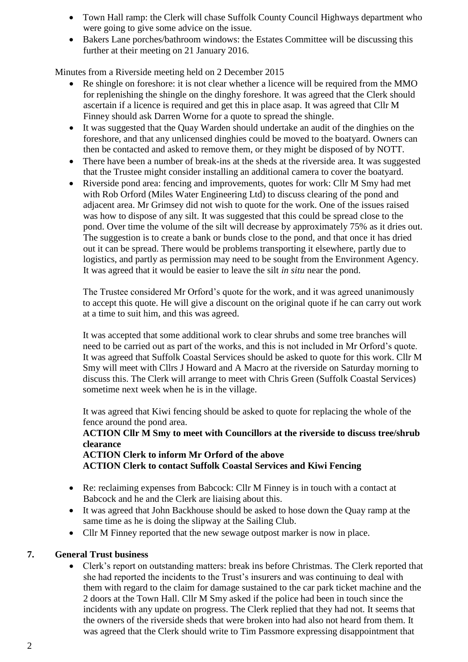- Town Hall ramp: the Clerk will chase Suffolk County Council Highways department who were going to give some advice on the issue.
- Bakers Lane porches/bathroom windows: the Estates Committee will be discussing this further at their meeting on 21 January 2016.

Minutes from a Riverside meeting held on 2 December 2015

- Re shingle on foreshore: it is not clear whether a licence will be required from the MMO for replenishing the shingle on the dinghy foreshore. It was agreed that the Clerk should ascertain if a licence is required and get this in place asap. It was agreed that Cllr M Finney should ask Darren Worne for a quote to spread the shingle.
- It was suggested that the Quay Warden should undertake an audit of the dinghies on the foreshore, and that any unlicensed dinghies could be moved to the boatyard. Owners can then be contacted and asked to remove them, or they might be disposed of by NOTT.
- There have been a number of break-ins at the sheds at the riverside area. It was suggested that the Trustee might consider installing an additional camera to cover the boatyard.
- Riverside pond area: fencing and improvements, quotes for work: Cllr M Smy had met with Rob Orford (Miles Water Engineering Ltd) to discuss clearing of the pond and adjacent area. Mr Grimsey did not wish to quote for the work. One of the issues raised was how to dispose of any silt. It was suggested that this could be spread close to the pond. Over time the volume of the silt will decrease by approximately 75% as it dries out. The suggestion is to create a bank or bunds close to the pond, and that once it has dried out it can be spread. There would be problems transporting it elsewhere, partly due to logistics, and partly as permission may need to be sought from the Environment Agency. It was agreed that it would be easier to leave the silt *in situ* near the pond.

The Trustee considered Mr Orford's quote for the work, and it was agreed unanimously to accept this quote. He will give a discount on the original quote if he can carry out work at a time to suit him, and this was agreed.

It was accepted that some additional work to clear shrubs and some tree branches will need to be carried out as part of the works, and this is not included in Mr Orford's quote. It was agreed that Suffolk Coastal Services should be asked to quote for this work. Cllr M Smy will meet with Cllrs J Howard and A Macro at the riverside on Saturday morning to discuss this. The Clerk will arrange to meet with Chris Green (Suffolk Coastal Services) sometime next week when he is in the village.

It was agreed that Kiwi fencing should be asked to quote for replacing the whole of the fence around the pond area.

**ACTION Cllr M Smy to meet with Councillors at the riverside to discuss tree/shrub clearance**

**ACTION Clerk to inform Mr Orford of the above ACTION Clerk to contact Suffolk Coastal Services and Kiwi Fencing**

- Re: reclaiming expenses from Babcock: Cllr M Finney is in touch with a contact at Babcock and he and the Clerk are liaising about this.
- It was agreed that John Backhouse should be asked to hose down the Quay ramp at the same time as he is doing the slipway at the Sailing Club.
- Cllr M Finney reported that the new sewage outpost marker is now in place.

## **7. General Trust business**

 Clerk's report on outstanding matters: break ins before Christmas. The Clerk reported that she had reported the incidents to the Trust's insurers and was continuing to deal with them with regard to the claim for damage sustained to the car park ticket machine and the 2 doors at the Town Hall. Cllr M Smy asked if the police had been in touch since the incidents with any update on progress. The Clerk replied that they had not. It seems that the owners of the riverside sheds that were broken into had also not heard from them. It was agreed that the Clerk should write to Tim Passmore expressing disappointment that